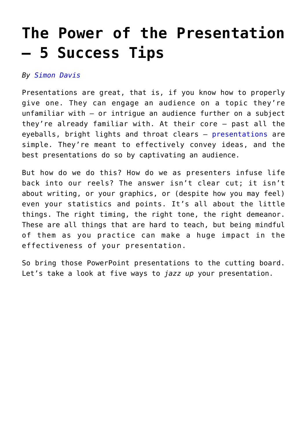# **[The Power of the Presentation](https://www.commpro.biz/the-power-of-the-presentation-5-success-tips/) [– 5 Success Tips](https://www.commpro.biz/the-power-of-the-presentation-5-success-tips/)**

## *By [Simon Davis](https://www.commpro.biz/corporate-communications/how-technology-has-revolutionized-the-modern-meeting/)*

Presentations are great, that is, if you know how to properly give one. They can engage an audience on a topic they're unfamiliar with – or intrigue an audience further on a subject they're already familiar with. At their core – past all the eyeballs, bright lights and throat clears – [presentations](https://www.commpro.biz/?s=powerpoint+presentation) are simple. They're meant to effectively convey ideas, and the best presentations do so by captivating an audience.

But how do we do this? How do we as presenters infuse life back into our reels? The answer isn't clear cut; it isn't about writing, or your graphics, or (despite how you may feel) even your statistics and points. It's all about the little things. The right timing, the right tone, the right demeanor. These are all things that are hard to teach, but being mindful of them as you practice can make a huge impact in the effectiveness of your presentation.

So bring those PowerPoint presentations to the cutting board. Let's take a look at five ways to *jazz up* your presentation.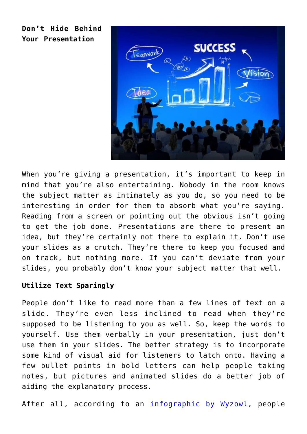**Don't Hide Behind Your Presentation**



When you're giving a presentation, it's important to keep in mind that you're also entertaining. Nobody in the room knows the subject matter as intimately as you do, so you need to be interesting in order for them to absorb what you're saying. Reading from a screen or pointing out the obvious isn't going to get the job done. Presentations are there to present an idea, but they're certainly not there to explain it. Don't use your slides as a crutch. They're there to keep you focused and on track, but nothing more. If you can't deviate from your slides, you probably don't know your subject matter that well.

# **Utilize Text Sparingly**

People don't like to read more than a few lines of text on a slide. They're even less inclined to read when they're supposed to be listening to you as well. So, keep the words to yourself. Use them verbally in your presentation, just don't use them in your slides. The better strategy is to incorporate some kind of visual aid for listeners to latch onto. Having a few bullet points in bold letters can help people taking notes, but pictures and animated slides do a better job of aiding the explanatory process.

After all, according to an [infographic by Wyzowl,](https://blog.wyzowl.com/power-visual-communication-infographic) people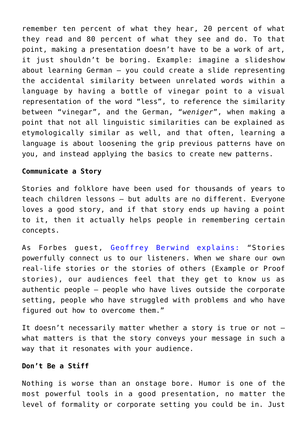remember ten percent of what they hear, 20 percent of what they read and 80 percent of what they see and do. To that point, making a presentation doesn't have to be a work of art, it just shouldn't be boring. Example: imagine a slideshow about learning German – you could create a slide representing the accidental similarity between unrelated words within a language by having a bottle of vinegar point to a visual representation of the word "less", to reference the similarity between "vinegar", and the German, "*weniger*", when making a point that not all linguistic similarities can be explained as etymologically similar as well, and that often, learning a language is about loosening the grip previous patterns have on you, and instead applying the basics to create new patterns.

#### **Communicate a Story**

Stories and folklore have been used for thousands of years to teach children lessons – but adults are no different. Everyone loves a good story, and if that story ends up having a point to it, then it actually helps people in remembering certain concepts.

As Forbes guest, [Geoffrey Berwind explains](https://www.forbes.com/sites/rodgerdeanduncan/2014/01/04/tap-the-power-of-storytelling/#2c62c4f038cf): "Stories powerfully connect us to our listeners. When we share our own real-life stories or the stories of others (Example or Proof stories), our audiences feel that they get to know us as authentic people – people who have lives outside the corporate setting, people who have struggled with problems and who have figured out how to overcome them."

It doesn't necessarily matter whether a story is true or not – what matters is that the story conveys your message in such a way that it resonates with your audience.

#### **Don't Be a Stiff**

Nothing is worse than an onstage bore. Humor is one of the most powerful tools in a good presentation, no matter the level of formality or corporate setting you could be in. Just